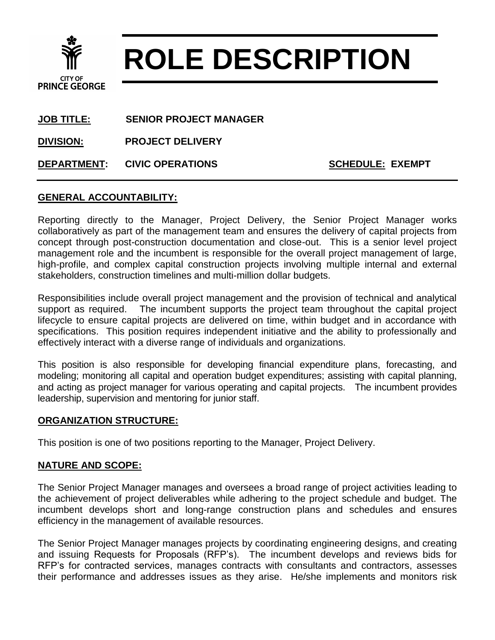

# **ROLE DESCRIPTION**

**JOB TITLE: SENIOR PROJECT MANAGER**

**DIVISION: PROJECT DELIVERY**

**DEPARTMENT:** CIVIC OPERATIONS **SCHEDULE: EXEMPT** 

### **GENERAL ACCOUNTABILITY:**

Reporting directly to the Manager, Project Delivery, the Senior Project Manager works collaboratively as part of the management team and ensures the delivery of capital projects from concept through post-construction documentation and close-out. This is a senior level project management role and the incumbent is responsible for the overall project management of large, high-profile, and complex capital construction projects involving multiple internal and external stakeholders, construction timelines and multi-million dollar budgets.

Responsibilities include overall project management and the provision of technical and analytical support as required. The incumbent supports the project team throughout the capital project lifecycle to ensure capital projects are delivered on time, within budget and in accordance with specifications. This position requires independent initiative and the ability to professionally and effectively interact with a diverse range of individuals and organizations.

This position is also responsible for developing financial expenditure plans, forecasting, and modeling; monitoring all capital and operation budget expenditures; assisting with capital planning, and acting as project manager for various operating and capital projects. The incumbent provides leadership, supervision and mentoring for junior staff.

#### **ORGANIZATION STRUCTURE:**

This position is one of two positions reporting to the Manager, Project Delivery.

#### **NATURE AND SCOPE:**

The Senior Project Manager manages and oversees a broad range of project activities leading to the achievement of project deliverables while adhering to the project schedule and budget. The incumbent develops short and long-range construction plans and schedules and ensures efficiency in the management of available resources.

The Senior Project Manager manages projects by coordinating engineering designs, and creating and issuing Requests for Proposals (RFP's). The incumbent develops and reviews bids for RFP's for contracted services, manages contracts with consultants and contractors, assesses their performance and addresses issues as they arise. He/she implements and monitors risk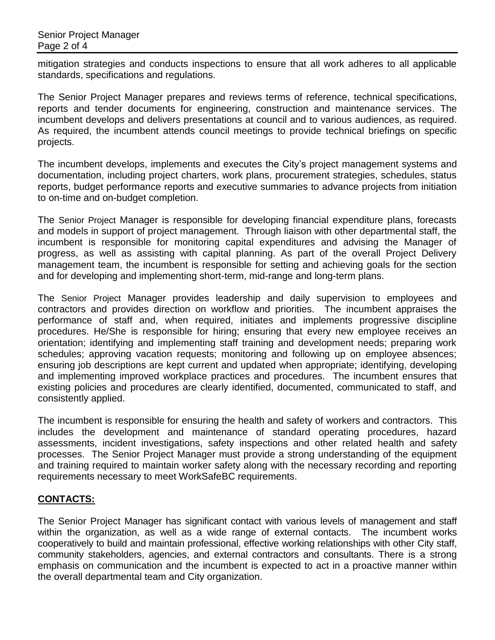mitigation strategies and conducts inspections to ensure that all work adheres to all applicable standards, specifications and regulations.

The Senior Project Manager prepares and reviews terms of reference, technical specifications, reports and tender documents for engineering, construction and maintenance services. The incumbent develops and delivers presentations at council and to various audiences, as required. As required, the incumbent attends council meetings to provide technical briefings on specific projects.

The incumbent develops, implements and executes the City's project management systems and documentation, including project charters, work plans, procurement strategies, schedules, status reports, budget performance reports and executive summaries to advance projects from initiation to on-time and on-budget completion.

The Senior Project Manager is responsible for developing financial expenditure plans, forecasts and models in support of project management. Through liaison with other departmental staff, the incumbent is responsible for monitoring capital expenditures and advising the Manager of progress, as well as assisting with capital planning. As part of the overall Project Delivery management team, the incumbent is responsible for setting and achieving goals for the section and for developing and implementing short-term, mid-range and long-term plans.

The Senior Project Manager provides leadership and daily supervision to employees and contractors and provides direction on workflow and priorities. The incumbent appraises the performance of staff and, when required, initiates and implements progressive discipline procedures. He/She is responsible for hiring; ensuring that every new employee receives an orientation; identifying and implementing staff training and development needs; preparing work schedules; approving vacation requests; monitoring and following up on employee absences; ensuring job descriptions are kept current and updated when appropriate; identifying, developing and implementing improved workplace practices and procedures. The incumbent ensures that existing policies and procedures are clearly identified, documented, communicated to staff, and consistently applied.

The incumbent is responsible for ensuring the health and safety of workers and contractors. This includes the development and maintenance of standard operating procedures, hazard assessments, incident investigations, safety inspections and other related health and safety processes. The Senior Project Manager must provide a strong understanding of the equipment and training required to maintain worker safety along with the necessary recording and reporting requirements necessary to meet WorkSafeBC requirements.

## **CONTACTS:**

The Senior Project Manager has significant contact with various levels of management and staff within the organization, as well as a wide range of external contacts. The incumbent works cooperatively to build and maintain professional, effective working relationships with other City staff, community stakeholders, agencies, and external contractors and consultants. There is a strong emphasis on communication and the incumbent is expected to act in a proactive manner within the overall departmental team and City organization.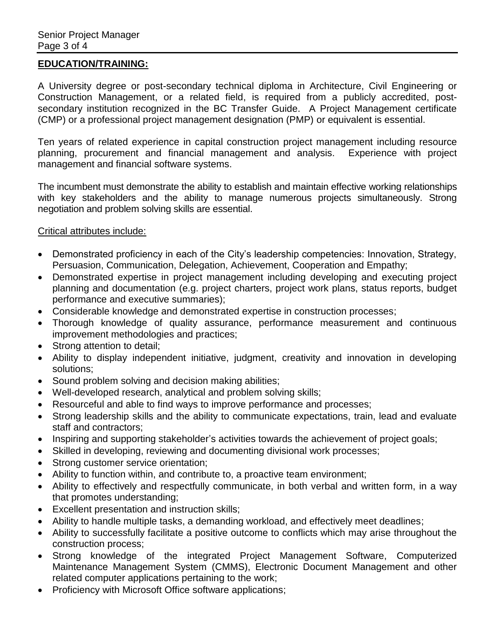#### **EDUCATION/TRAINING:**

A University degree or post-secondary technical diploma in Architecture, Civil Engineering or Construction Management, or a related field, is required from a publicly accredited, postsecondary institution recognized in the BC Transfer Guide. A Project Management certificate (CMP) or a professional project management designation (PMP) or equivalent is essential.

Ten years of related experience in capital construction project management including resource planning, procurement and financial management and analysis. Experience with project management and financial software systems.

The incumbent must demonstrate the ability to establish and maintain effective working relationships with key stakeholders and the ability to manage numerous projects simultaneously. Strong negotiation and problem solving skills are essential.

#### Critical attributes include:

- Demonstrated proficiency in each of the City's leadership competencies: Innovation, Strategy, Persuasion, Communication, Delegation, Achievement, Cooperation and Empathy;
- Demonstrated expertise in project management including developing and executing project planning and documentation (e.g. project charters, project work plans, status reports, budget performance and executive summaries);
- Considerable knowledge and demonstrated expertise in construction processes;
- Thorough knowledge of quality assurance, performance measurement and continuous improvement methodologies and practices;
- Strong attention to detail:
- Ability to display independent initiative, judgment, creativity and innovation in developing solutions;
- Sound problem solving and decision making abilities;
- Well-developed research, analytical and problem solving skills;
- Resourceful and able to find ways to improve performance and processes;
- Strong leadership skills and the ability to communicate expectations, train, lead and evaluate staff and contractors;
- Inspiring and supporting stakeholder's activities towards the achievement of project goals;
- Skilled in developing, reviewing and documenting divisional work processes;
- Strong customer service orientation;
- Ability to function within, and contribute to, a proactive team environment;
- Ability to effectively and respectfully communicate, in both verbal and written form, in a way that promotes understanding;
- Excellent presentation and instruction skills;
- Ability to handle multiple tasks, a demanding workload, and effectively meet deadlines;
- Ability to successfully facilitate a positive outcome to conflicts which may arise throughout the construction process;
- Strong knowledge of the integrated Project Management Software, Computerized Maintenance Management System (CMMS), Electronic Document Management and other related computer applications pertaining to the work;
- Proficiency with Microsoft Office software applications;